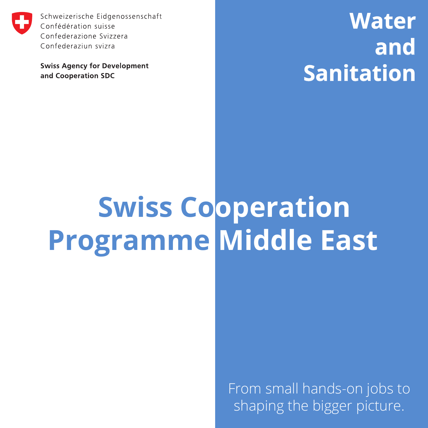

Schweizerische Eidgenossenschaft Confédération suisse Confederazione Svizzera Confederaziun svizra

**Swiss Agency for Development** and Cooperation SDC

**Water and Sanitation**

## **Swiss Cooperation Programme Middle East**

From small hands-on jobs to shaping the bigger picture.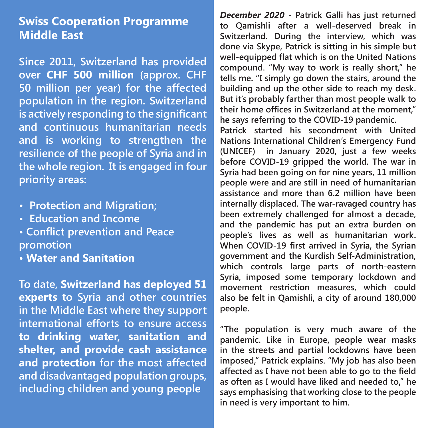## **Swiss Cooperation Programme Middle East**

**Since 2011, Switzerland has provided over CHF 500 million (approx. CHF 50 million per year) for the affected population in the region. Switzerland is actively responding to the significant and continuous humanitarian needs and is working to strengthen the resilience of the people of Syria and in the whole region. It is engaged in four priority areas:** 

- **Protection and Migration;**
- **Education and Income**
- **Conflict prevention and Peace promotion**
- **Water and Sanitation**

**To date, Switzerland has deployed 51 experts to Syria and other countries in the Middle East where they support international efforts to ensure access to drinking water, sanitation and shelter, and provide cash assistance and protection for the most affected and disadvantaged population groups, including children and young people**

*December 2020* **- Patrick Galli has just returned to Qamishli after a well-deserved break in Switzerland. During the interview, which was done via Skype, Patrick is sitting in his simple but well-equipped flat which is on the United Nations compound. "My way to work is really short," he tells me. "I simply go down the stairs, around the building and up the other side to reach my desk. But it's probably farther than most people walk to their home offices in Switzerland at the moment," he says referring to the COVID-19 pandemic.** 

**Patrick started his secondment with United Nations International Children's Emergency Fund (UNICEF) in January 2020, just a few weeks before COVID-19 gripped the world. The war in Syria had been going on for nine years, 11 million people were and are still in need of humanitarian assistance and more than 6.2 million have been internally displaced. The war-ravaged country has been extremely challenged for almost a decade, and the pandemic has put an extra burden on people's lives as well as humanitarian work. When COVID-19 first arrived in Syria, the Syrian government and the Kurdish Self-Administration, which controls large parts of north-eastern Syria, imposed some temporary lockdown and movement restriction measures, which could also be felt in Qamishli, a city of around 180,000 people.** 

**"The population is very much aware of the pandemic. Like in Europe, people wear masks in the streets and partial lockdowns have been imposed," Patrick explains. "My job has also been affected as I have not been able to go to the field as often as I would have liked and needed to," he says emphasising that working close to the people in need is very important to him.**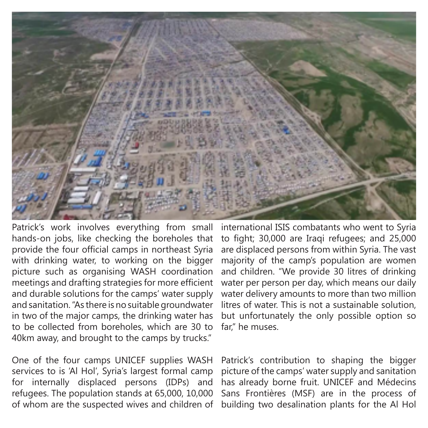

Patrick's work involves everything from small hands-on jobs, like checking the boreholes that provide the four official camps in northeast Syria with drinking water, to working on the bigger picture such as organising WASH coordination meetings and drafting strategies for more efficient and durable solutions for the camps' water supply and sanitation. "As there is no suitable groundwater in two of the major camps, the drinking water has to be collected from boreholes, which are 30 to 40km away, and brought to the camps by trucks."

One of the four camps UNICEF supplies WASH services to is 'Al Hol', Syria's largest formal camp for internally displaced persons (IDPs) and refugees. The population stands at 65,000, 10,000 of whom are the suspected wives and children of international ISIS combatants who went to Syria to fight; 30,000 are Iraqi refugees; and 25,000 are displaced persons from within Syria. The vast majority of the camp's population are women and children. "We provide 30 litres of drinking water per person per day, which means our daily water delivery amounts to more than two million litres of water. This is not a sustainable solution, but unfortunately the only possible option so far," he muses.

Patrick's contribution to shaping the bigger picture of the camps' water supply and sanitation has already borne fruit. UNICEF and Médecins Sans Frontières (MSF) are in the process of building two desalination plants for the Al Hol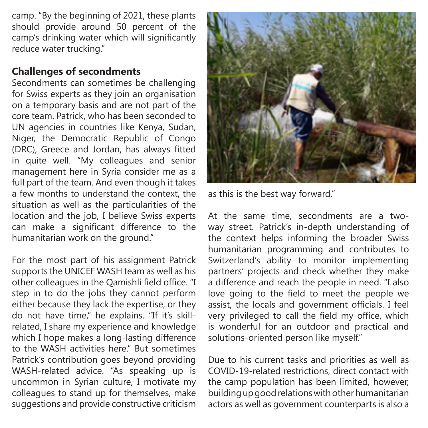camp. "By the beginning of 2021, these plants should provide around 50 percent of the camp's drinking water which will significantly reduce water trucking."

## **Challenges of secondments**

Secondments can sometimes be challenging for Swiss experts as they join an organisation on a temporary basis and are not part of the core team. Patrick, who has been seconded to UN agencies in countries like Kenya, Sudan, Niger, the Democratic Republic of Congo (DRC), Greece and Jordan, has always fitted in quite well. "My colleagues and senior management here in Syria consider me as a full part of the team. And even though it takes a few months to understand the context, the situation as well as the particularities of the location and the job, I believe Swiss experts can make a significant difference to the humanitarian work on the ground."

For the most part of his assignment Patrick supports the UNICEF WASH team as well as his other colleagues in the Qamishli field office. "I step in to do the jobs they cannot perform either because they lack the expertise, or they do not have time," he explains. "If it's skillrelated, I share my experience and knowledge which I hope makes a long-lasting difference to the WASH activities here." But sometimes Patrick's contribution goes beyond providing WASH-related advice. "As speaking up is uncommon in Syrian culture, I motivate my colleagues to stand up for themselves, make suggestions and provide constructive criticism



as this is the best way forward."

At the same time, secondments are a twoway street. Patrick's in-depth understanding of the context helps informing the broader Swiss humanitarian programming and contributes to Switzerland's ability to monitor implementing partners' projects and check whether they make a difference and reach the people in need. "I also love going to the field to meet the people we assist, the locals and government officials. I feel very privileged to call the field my office, which is wonderful for an outdoor and practical and solutions-oriented person like myself."

Due to his current tasks and priorities as well as COVID-19-related restrictions, direct contact with the camp population has been limited, however, building up good relations with other humanitarian actors as well as government counterparts is also a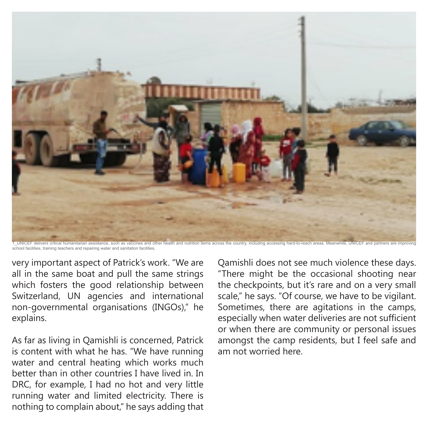

1\_UNICEF delivers critical humanitarian assistance, such as vaccines and other health and nutrition items across the country, including accessing hard-to-reach areas. Meanwhile, UNICEF and partners are improving school facilities, training teachers and repairing water and sanitation facilities.

very important aspect of Patrick's work. "We are all in the same boat and pull the same strings which fosters the good relationship between Switzerland, UN agencies and international non-governmental organisations (INGOs)," he explains.

As far as living in Qamishli is concerned, Patrick is content with what he has. "We have running water and central heating which works much better than in other countries I have lived in. In DRC, for example, I had no hot and very little running water and limited electricity. There is nothing to complain about," he says adding that

Qamishli does not see much violence these days. "There might be the occasional shooting near the checkpoints, but it's rare and on a very small scale," he says. "Of course, we have to be vigilant. Sometimes, there are agitations in the camps, especially when water deliveries are not sufficient or when there are community or personal issues amongst the camp residents, but I feel safe and am not worried here.